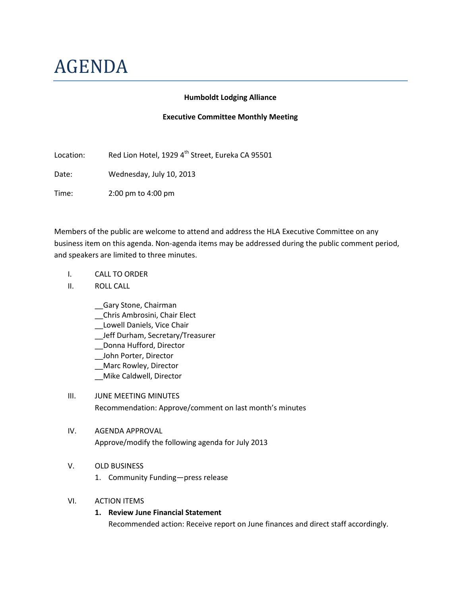# AGENDA

#### **Humboldt Lodging Alliance**

#### **Executive Committee Monthly Meeting**

Location: Red Lion Hotel, 1929 4<sup>th</sup> Street, Eureka CA 95501

Date: Wednesday, July 10, 2013

Time: 2:00 pm to 4:00 pm

Members of the public are welcome to attend and address the HLA Executive Committee on any business item on this agenda. Non-agenda items may be addressed during the public comment period, and speakers are limited to three minutes.

- I. CALL TO ORDER
- II. ROLL CALL
	- \_\_Gary Stone, Chairman
	- \_\_Chris Ambrosini, Chair Elect
	- \_\_Lowell Daniels, Vice Chair
	- \_\_Jeff Durham, Secretary/Treasurer
	- \_\_Donna Hufford, Director
	- \_\_John Porter, Director
	- \_\_Marc Rowley, Director
	- \_\_Mike Caldwell, Director
- III. JUNE MEETING MINUTES Recommendation: Approve/comment on last month's minutes

# IV. AGENDA APPROVAL Approve/modify the following agenda for July 2013

# V. OLD BUSINESS

1. Community Funding—press release

#### VI. ACTION ITEMS

#### **1. Review June Financial Statement**

Recommended action: Receive report on June finances and direct staff accordingly.